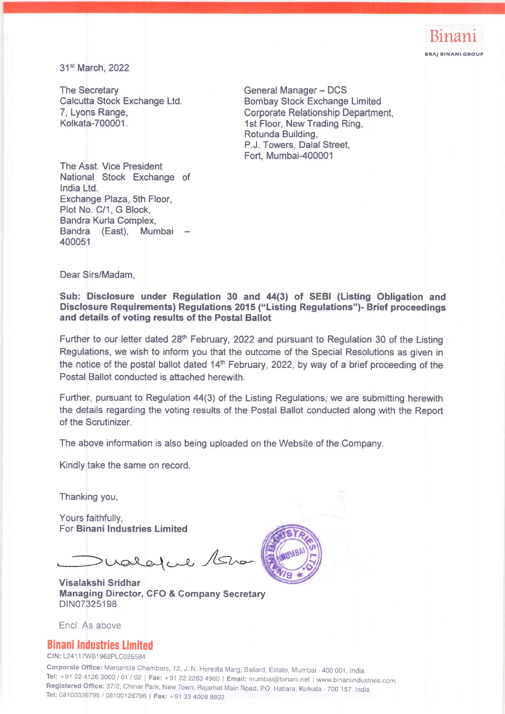

31" March,2022

The Secretary Calcutta Stock Exchange Ltd. 7, Lyons Range, Kolkata-700001.

General Manager - DCS Bombay Stock Exchange Limited Corporate Relationship Department, 1st Floor, New Trading Ring, Rotunda Building, P.J. Towers, Dalal Street, Fort. Mumbai-400001

The Asst. Vice President National Stock Exchange of lndia Ltd. Exchange Plaza, 5th Floor, Plot No. C/1, G Block, Bandra Kurla Complex, Bandra (East), Mumbai 400051

Dear Sirs/Madam,

Sub: Disclosure under Regulation 30 and 44(3) of SEBI (Listing Obligation and Disclosure Requirements) Regulations 2015 ("Listing Regulations")- Brief proceedings and details of voting results of the Postal Ballot

Further to our letter dated 28<sup>th</sup> February, 2022 and pursuant to Regulation 30 of the Listing Regulations, we wish to inform you that the outcome of the Special Resolutions as given in the notice of the postal ballot dated  $14<sup>th</sup>$  February, 2022, by way of a brief proceeding of the Postal Ballot conducted is attached herewith.

Further, pursuant to Regulation 44(3) of the Listing Regulations, we are submitting herewith the details regarding the voting results of the Postal Ballot conducted along with the Report of the Scrutinizer.

The above information is also being uploaded on the Website of the Company.

Kindly take the same on record.

Thanking you,

Yours faithfully, For Binani Industries Limited

 $>$  valatue /5 $\sim$ 

Visalakshi Sridhar Managing Director, CFO & Gompany Secretary DIN07325198

Encl: As above

## Binani Industties limited

CIN: L24117WB1962PLC025584

Corporate Office: Mercantile Chambers, 12, J. N. Heredia Marg, Ballard, Estate, Mumbai - 400 001, India.<br>Tel: +91 22 4126 3000 / 01 / 02 | Fax: +91 22 2263 4960 | Email: mumbai@binani.net | www.binaniindustries.com Registered Office: 37/2, Chinar Park, New Town, Rajarhat Main Road, P.O. Hatiara, Kolkata - 700 157, India Tel: 08100326795 / 08100126796 | Fax: +91 33 4OO8 8802

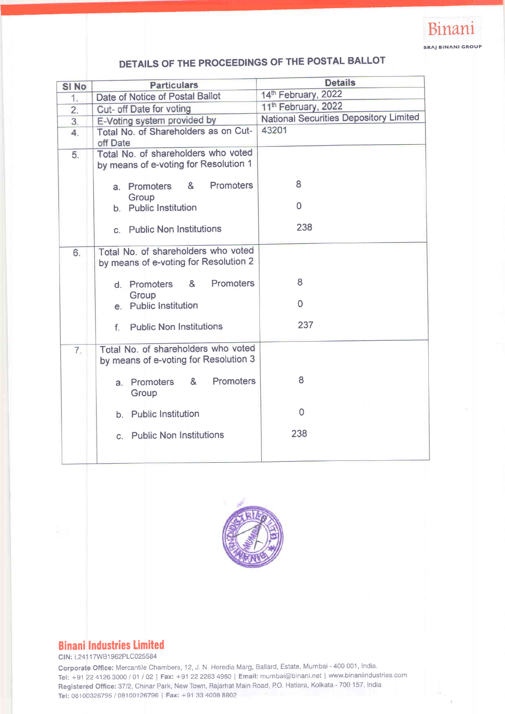

# DETAILS OF THE PROCEEDINGS OF THE POSTAL BALLOT

| SI <sub>No</sub> | <b>Particulars</b>                                                           | <b>Details</b>                                |
|------------------|------------------------------------------------------------------------------|-----------------------------------------------|
| 1.               | Date of Notice of Postal Ballot                                              | 14th February, 2022                           |
| $\overline{2}$ . | Cut- off Date for voting                                                     | 11 <sup>th</sup> February, 2022               |
| 3.               | E-Voting system provided by                                                  | <b>National Securities Depository Limited</b> |
| $\overline{4}$ . | Total No. of Shareholders as on Cut-<br>off Date                             | 43201                                         |
| 5.               | Total No. of shareholders who voted<br>by means of e-voting for Resolution 1 |                                               |
|                  | <b>Promoters</b><br>&<br>Promoters<br>а.<br>Group                            | 8                                             |
|                  | b. Public Institution                                                        | $\Omega$                                      |
|                  | c. Public Non Institutions                                                   | 238                                           |
| 6.               | Total No. of shareholders who voted<br>by means of e-voting for Resolution 2 |                                               |
|                  | <b>Promoters</b><br>&<br>d. Promoters                                        | 8                                             |
|                  | Group<br>e. Public Institution                                               | $\mathbf 0$                                   |
|                  | <b>Public Non Institutions</b><br>f.                                         | 237                                           |
| $\overline{7}$ . | Total No. of shareholders who voted<br>by means of e-voting for Resolution 3 |                                               |
|                  | <b>Promoters</b><br>8 <sub>k</sub><br>a. Promoters<br>Group                  | 8                                             |
|                  | b. Public Institution                                                        | 0                                             |
|                  | c. Public Non Institutions                                                   | 238                                           |
|                  |                                                                              |                                               |



# **Binani Industries Limited**

CIN: 1241 1 7WB1 962PLC025584

Corporate Office: Mercantile Chambers, 12, J. N. Heredia Marg, Ballard, Estate, Mumbai - 400 001, India. Tel: +91 22 4126 3000 / 01 / 02 | Fax: +91 22 2263 4960 | Email: mumbai@binani.net | www.binaniindustries.com Registered Office: 37/2, Chinar Park, New Town, Rajarhat Main Road, P.O. Hatiara, Kolkata - 700 157. India Tel: 08100326795 / 08100126796 | Fax: +91 33 4008 8802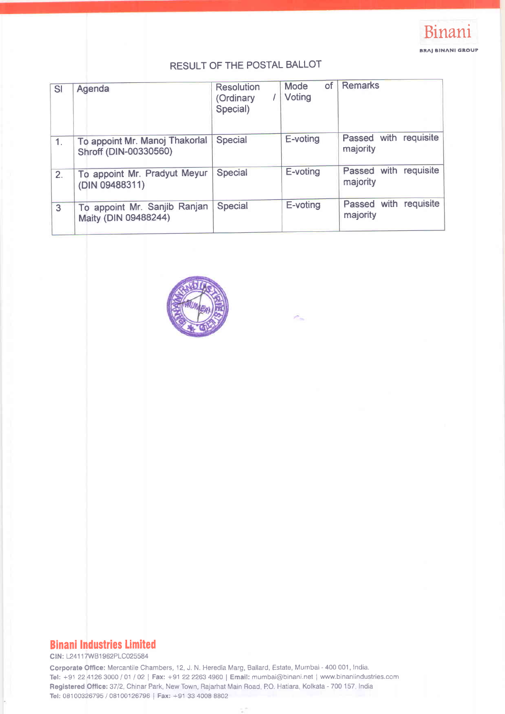

# RESULT OF THE POSTAL BALLOT

| SI             | Agenda                                                  | <b>Resolution</b><br>(Ordinary<br>Special) | of<br>Mode<br>Voting | <b>Remarks</b>                    |
|----------------|---------------------------------------------------------|--------------------------------------------|----------------------|-----------------------------------|
| $\mathbf{1}$ . | To appoint Mr. Manoj Thakorlal<br>Shroff (DIN-00330560) | Special                                    | E-voting             | Passed with requisite<br>majority |
| 2.             | To appoint Mr. Pradyut Meyur<br>(DIN 09488311)          | Special                                    | E-voting             | Passed with requisite<br>majority |
| 3              | To appoint Mr. Sanjib Ranjan<br>Maity (DIN 09488244)    | Special                                    | E-voting             | Passed with requisite<br>majority |

P.



# **Binani Industries Limited**

CIN: L24117WB1962PLC025584

Corporate Office: Mercantile Chambers, 12, J. N. Heredia Marg, Ballard, Estate, Mumbai - 400 001 , India. Tel: +91 22 4126 3000 / 01 / 02 | Fax: +91 22 2263 4960 | Email: mumbai@binani.net | www.binaniindustries.com Registered Office: 37/2, Chinar Park, New Town, Rajarhat Main Road, P.O. Hatiara, Kolkata - 700 157, India Tel; 0810O326795 / 08100126796 | Fax: +91 33 4008 8802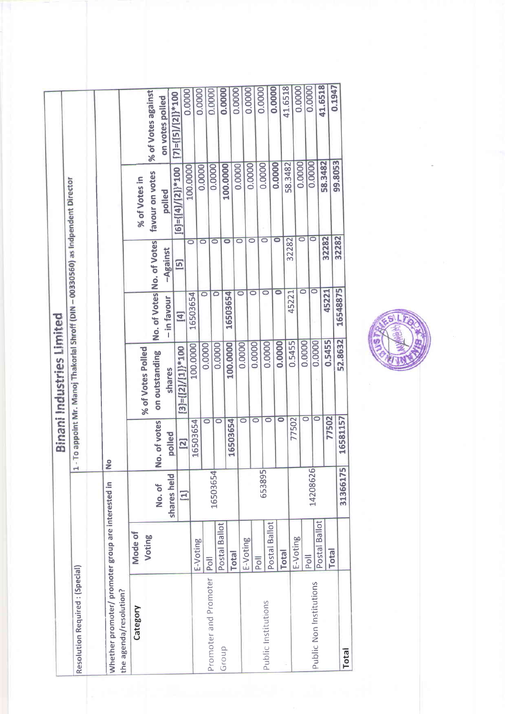|                                                                              |               |                      |                        | <b>Binani Industries Limited</b>                                                |                      |                           |                              |                            |
|------------------------------------------------------------------------------|---------------|----------------------|------------------------|---------------------------------------------------------------------------------|----------------------|---------------------------|------------------------------|----------------------------|
| Resolution Required: (Special)                                               |               |                      | $\mathbf{\vec{r}}$     | - To appoint Mr. Manoj Thakorlal Shroff (DIN - 00330560) as Indpendent Director |                      |                           |                              |                            |
|                                                                              |               |                      |                        |                                                                                 |                      |                           |                              |                            |
| Whether promoter/ promoter group are interested in<br>the agenda/resolution? |               |                      | ۰<br>z                 |                                                                                 |                      |                           |                              |                            |
| Category                                                                     | Mode of       |                      |                        |                                                                                 |                      |                           | % of Votes in                |                            |
|                                                                              | Voting        |                      |                        | % of Votes Polled                                                               |                      | No. of Votes No. of Votes | favour on votes              | % of Votes against         |
|                                                                              |               | shares held<br>No.of | No. of votes<br>polled | on outstanding<br>shares                                                        | - in favour          | -Against                  | polled                       | on votes polled            |
|                                                                              |               | $\Xi$                | $\overline{[2]}$       | $[3] = { [2] / [1] }^* 100$                                                     | $[4]$                | $\overline{5}$            | $[6] = \{ [4] / [2] \}$ *100 | $[7] = {[5]}/{[2]}^{*}100$ |
|                                                                              |               |                      | 16503654               | 100.0000                                                                        | 16503654             | $\circ$                   | 100.0000                     | 0.0000                     |
|                                                                              | E-Voting      |                      | $\circ$                | 0.0000                                                                          | $\circ$              | $\overline{\circ}$        | 0.0000                       | 0.0000                     |
| Promoter and Promoter                                                        | Poll          | 16503654             | 0                      | 0.0000                                                                          | $\overline{\circ}$   | $\circ$                   | 0.0000                       | 0.0000                     |
| Group                                                                        | Postal Ballot |                      |                        | 100.0000                                                                        | 16503654             | 0                         | 100.0000                     | 0.0000                     |
|                                                                              | <b>Total</b>  |                      | 16503654               | 0.0000                                                                          | $\overline{\circ}$   | $\circ$                   | 0.0000                       | 0.0000                     |
|                                                                              | E-Voting      |                      | $\circ$                |                                                                                 | $\overline{\bullet}$ | 0                         | 0.0000                       | 0.0000                     |
| Public Institutions                                                          | Poll          | 653895               | $\circ$                | 0.0000<br>0.0000                                                                | $\circ$              | Ō                         | 0.0000                       | 0.0000                     |
|                                                                              | Postal Ballot |                      | $\circ$                | 0.0000                                                                          | 0                    | $\overline{\bullet}$      | 0.0000                       | 0.0000                     |
|                                                                              | <b>Total</b>  |                      | 0                      | 0.5455                                                                          | 45221                | 32282                     | 58.3482                      | 41.6518                    |
|                                                                              | E-Voting      |                      | 77502                  | 0.0000                                                                          | $\circ$              | $\bar{\circ}$             | 0.0000                       | 0.0000                     |
| Public Non Institutions                                                      | Poll          | 14208626             |                        | 0.0000<br>$\overline{\circ}$<br>$\circ$                                         |                      | $\circ$<br>$\circ$        | 0.0000                       | 0.0000                     |
|                                                                              | Postal Ballot |                      | 77502                  | 0.5455                                                                          | 45221                | 32282                     | 58.3482                      | 41.6518                    |
|                                                                              | <b>Total</b>  |                      |                        | 52.8632                                                                         | 16548875             | 32282                     | 99.8053                      | 0.1947                     |
| Total                                                                        |               | 31366175             | 16581157               |                                                                                 |                      |                           |                              |                            |

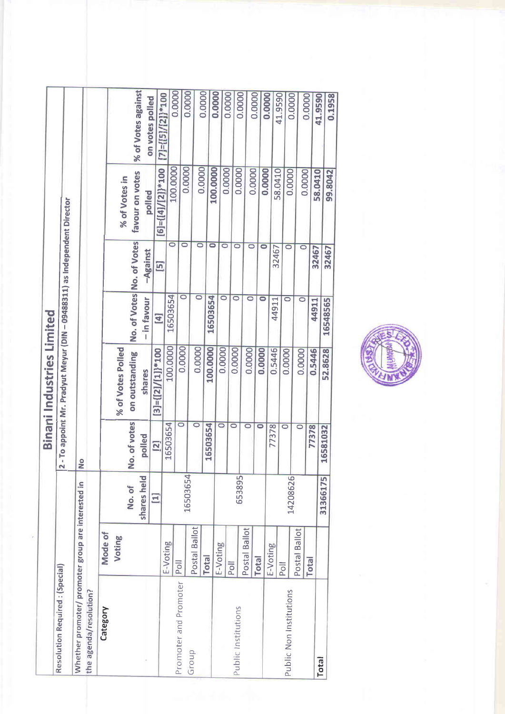|                                                    |               |             |                    | <b>Binani Industries Limited</b>                                        |                           |                    |                                          |                                        |
|----------------------------------------------------|---------------|-------------|--------------------|-------------------------------------------------------------------------|---------------------------|--------------------|------------------------------------------|----------------------------------------|
| Resolution Required: (Special)                     |               |             |                    |                                                                         |                           |                    |                                          |                                        |
|                                                    |               |             |                    | - To appoint Mr. Pradyut Meyur (DIN - 09488311) as Independent Director |                           |                    |                                          |                                        |
| Whether promoter/ promoter group are interested in |               |             | $\frac{1}{2}$      |                                                                         |                           |                    |                                          |                                        |
| the agenda/resolution?                             |               |             |                    |                                                                         |                           |                    |                                          |                                        |
| Category                                           | Mode of       |             |                    |                                                                         |                           |                    |                                          |                                        |
|                                                    | Voting        |             |                    | % of Votes Polled                                                       |                           |                    | % of Votes in                            |                                        |
|                                                    |               | No. of      | No. of votes       | on outstanding                                                          | No. of Votes No. of Votes |                    | favour on votes                          | % of Votes against                     |
|                                                    |               | shares held | polled             | shares                                                                  | - in favour               | -Against           | polled                                   | on votes polled                        |
|                                                    |               | $\Xi$       | $\boxed{2}$        | $[3]-[2]/[1])$ *100                                                     | $[4]$                     | $\overline{5}$     |                                          |                                        |
|                                                    | E-Voting      |             | 16503654           | 100.0000                                                                | 16503654                  | $\overline{\circ}$ | 100.0000<br>$[6] = \{ [4] / [2] \}$ *100 | 0.0000<br>$[7] = \{ [5] / [2] \}$ *100 |
| Promoter and Promoter                              | Poll          | 16503654    | $\overline{\circ}$ | 0.0000                                                                  | 0                         | $\circ$            | 0.0000                                   |                                        |
| Group                                              | Postal Ballot |             | $\overline{\circ}$ | 0.0000                                                                  | $\overline{\circ}$        | $\circ$            | 0.0000                                   | 0.0000                                 |
|                                                    | <b>Total</b>  |             | 16503654           | 100.0000                                                                | 16503654                  |                    |                                          | 0.0000                                 |
|                                                    | E-Voting      |             |                    |                                                                         |                           | $\bullet$          | 100.0000                                 | 0.0000                                 |
|                                                    |               |             | 0                  | 0.0000                                                                  | $\overline{\circ}$        | $\circ$            | 0.0000                                   | 0.0000                                 |
| Public Institutions                                | Poll          | 653895      | $\circ$            | 0.0000                                                                  | $\circ$                   | $\circ$            | 0.0000                                   | 0.0000                                 |
|                                                    | Postal Ballot |             | $\circ$            | 0.0000                                                                  | $\circ$                   | $\overline{\circ}$ | 0.0000                                   | 0.0000                                 |
|                                                    | <b>Total</b>  |             | 0                  | 0.0000                                                                  | $\bullet$                 | $\bullet$          | 0.0000                                   | 0.0000                                 |
|                                                    | E-Voting      |             | 77378              | 0.5446                                                                  | 44911                     | 32467              | 58.0410                                  | 41.9590                                |
| Public Non Institutions                            | Poll          | 14208626    | 0                  | 0.0000                                                                  | 0                         | $\circ$            | 0.0000                                   | 0.0000                                 |
|                                                    | Postal Ballot |             | $\circ$            | 0.0000                                                                  | $\circ$                   | $\circ$            | 0.0000                                   |                                        |
|                                                    | Total         |             | 77378              | 0.5446                                                                  | 44911                     | 32467              |                                          | 0.0000                                 |
| <b>Total</b>                                       |               | 31366175    | 16581032           | 52.8628                                                                 | 16548565                  |                    | 58.0410                                  | 41.9590                                |
|                                                    |               |             |                    |                                                                         |                           | 32467              | 99.8042                                  | 0.1958                                 |

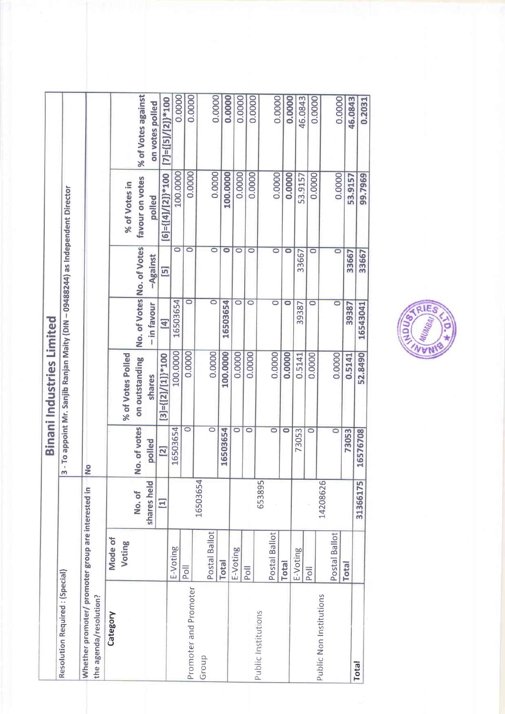|                                                                              |               |             |                      | <b>Binani Industries Limited</b>                                              |                    |                           |                              |                              |
|------------------------------------------------------------------------------|---------------|-------------|----------------------|-------------------------------------------------------------------------------|--------------------|---------------------------|------------------------------|------------------------------|
| Resolution Required: (Special)                                               |               |             | m                    | - To appoint Mr. Sanjib Ranjan Maity (DIN - 09488244) as Independent Director |                    |                           |                              |                              |
| Whether promoter/ promoter group are interested in<br>the agenda/resolution? |               |             | <b>No</b>            |                                                                               |                    |                           |                              |                              |
| Category                                                                     | Mode of       |             |                      |                                                                               |                    |                           |                              |                              |
|                                                                              | Voting        |             |                      | % of Votes Polled                                                             |                    |                           | % of Votes in                |                              |
|                                                                              |               | No.of       | No. of votes         | on outstanding                                                                |                    | No. of Votes No. of Votes | favour on votes              | % of Votes against           |
|                                                                              |               | shares held | polled               | shares                                                                        | - in favour        | -Against                  | polled                       | on votes polled              |
|                                                                              |               | Ξ           | <b>21</b>            | $[3]-[2]/[1]\}$ *100                                                          | $\Xi$              | $\Xi$                     | $[6] = \{ [4] / [2] \}$ *100 | $[7] = \{ [5] / [2] \}$ *100 |
|                                                                              | E-Voting      |             | 16503654             | 100.0000                                                                      | 16503654           | $\circ$                   | 100.0000                     | 0.0000                       |
| Promoter and Promoter                                                        | Poll          |             | $\circ$              | 0.0000                                                                        | $\circ$            | $\circ$                   | 0.0000                       | 0.0000                       |
| Group                                                                        |               | 16503654    |                      |                                                                               |                    |                           |                              |                              |
|                                                                              | Postal Ballot |             | $\circ$              | 0.0000                                                                        | $\overline{\circ}$ | $\overline{\circ}$        | 0.0000                       | 0.0000                       |
|                                                                              | <b>Total</b>  |             | 16503654             | 100.0000                                                                      | 16503654           | $\bullet$                 | 100.0000                     | 0.0000                       |
|                                                                              | E-Voting      |             | $\circ$              | 0.0000                                                                        | $\circ$            | $\circ$                   | 0.0000                       | 0.0000                       |
|                                                                              | Poll          |             | $\circ$              | 0.0000                                                                        | $\circ$            | $\circ$                   | 0.0000                       | 0.0000                       |
| Public Institutions                                                          |               | 653895      |                      |                                                                               |                    |                           |                              |                              |
|                                                                              | Postal Ballot |             | $\circ$              | 0.0000                                                                        | $\circ$            | $\overline{\circ}$        | 0.0000                       | 0.0000                       |
|                                                                              | <b>Total</b>  |             | $\overline{\bullet}$ | 0.0000                                                                        | 0                  | $\circ$                   | 0.0000                       | 0.0000                       |
|                                                                              | E-Voting      |             | 73053                | 0.5141                                                                        | 39387              | 33667                     | 53.9157                      | 46.0843                      |
|                                                                              | Poll          |             | $\circ$              | 0.0000                                                                        | $\circ$            | $\circ$                   | 0.0000                       | 0.0000                       |
| Public Non Institutions                                                      |               | 14208626    |                      |                                                                               |                    |                           |                              |                              |
|                                                                              | Postal Ballot |             | $\overline{\circ}$   | 0.0000                                                                        | $\circ$            | $\overline{\mathbf{C}}$   | 0.0000                       | 0.0000                       |
|                                                                              | <b>Total</b>  |             | 73053                | 0.5141                                                                        | 39387              | 33667                     | 53.9157                      | 46.0843                      |
| <b>Total</b>                                                                 |               | 31366175    | 16576708             | 52.8490                                                                       | 16543041           | 33667                     | 99.7969                      | 0.2031                       |

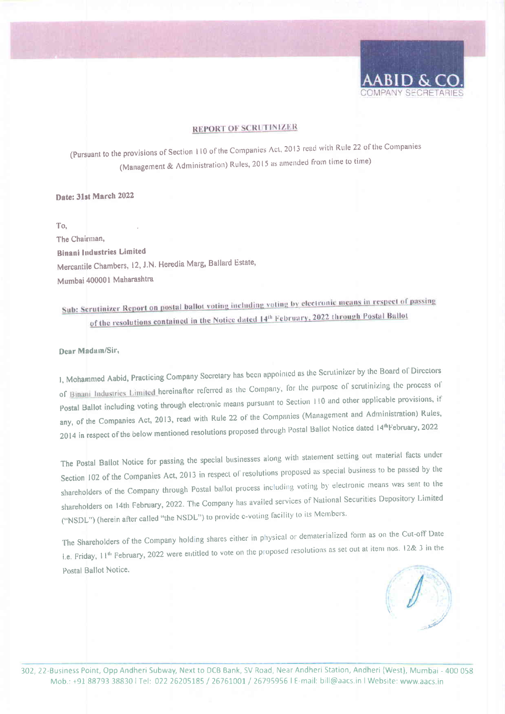

## **REPORT OF SCRUTINIZER**

(Pursuant to the provisions of Section 110 of the Companies Act, 2013 read with Rule 22 of the Companies (Management & Administration) Rules, 2015 as amended from time to time)

## Date: 31st March 2022

 $To.$ 

The Chairman. **Binani Industries Limited** Mercantile Chambers, 12, J.N. Heredia Marg, Ballard Estate, Mumbai 400001 Maharashtra

# Sub: Scrutinizer Report on postal ballot voting including voting by electronic means in respect of passing of the resolutions contained in the Notice dated 14th February, 2022 through Postal Ballot

#### Dear Madam/Sir,

1, Mohammed Aabid, Practicing Company Secretary has been appointed as the Scrutinizer by the Board of Directors of Binani Industries Limited hereinafter referred as the Company, for the purpose of scrutinizing the process of Postal Ballot including voting through electronic means pursuant to Section 110 and other applicable provisions, if any, of the Companies Act, 2013, read with Rule 22 of the Companies (Management and Administration) Rules, 2014 in respect of the below mentioned resolutions proposed through Postal Ballot Notice dated 14th February, 2022

The Postal Ballot Notice for passing the special businesses along with statement setting out material facts under Section 102 of the Companies Act, 2013 in respect of resolutions proposed as special business to be passed by the shareholders of the Company through Postal ballot process including voting by electronic means was sent to the shareholders on 14th February, 2022. The Company has availed services of National Securities Depository Limited ("NSDL") (herein after called "the NSDL") to provide e-voting facility to its Members.

The Shareholders of the Company holding shares either in physical or dematerialized form as on the Cut-off Date i.e. Friday, 11<sup>th</sup> February, 2022 were entitled to vote on the proposed resolutions as set out at item nos. 12& 3 in the Postal Ballot Notice.

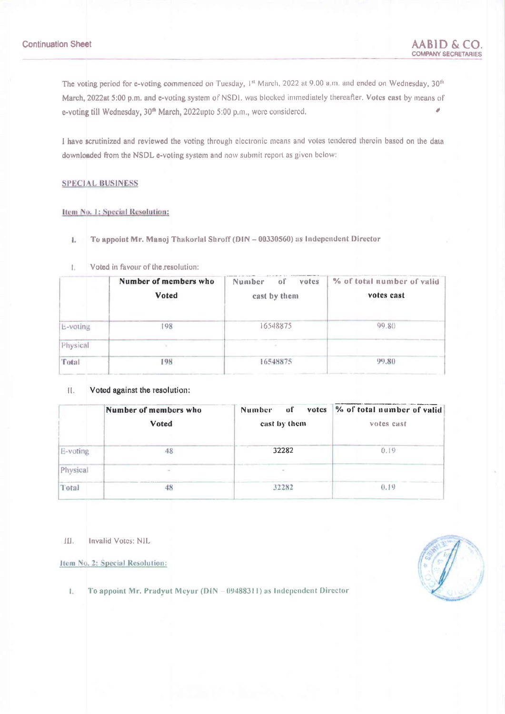The voting period for e-voting commenced on Tuesday, 1st March, 2022 at 9.00 a.m. and ended on Wednesday, 30th March, 2022at 5:00 p.m. and e-voting system of NSD1. was blocked immediately thereafter. Votes cast by means of e-voting till Wednesday, 30<sup>th</sup> March, 2022upto 5:00 p.m., were considered.

I have scrutinized and reviewed the voting through electronic means and votes tendered therein based on the data downloaded from the NSDL e-voting system and now submit report as given below:

#### **SPECIAL BUSINESS**

### Item No. 1: Special Resolution:

- To appoint Mr. Manoj Thakorlal Shroff (DIN 00330560) as Independent Director L.
- Voted in favour of the resolution: Ł

|          | Number of members who | <b>Number</b><br>οľ<br>votes | % of total number of valid |
|----------|-----------------------|------------------------------|----------------------------|
|          | Voted                 | cast by them                 | votes cast                 |
| L-voting | 198                   | 16548875                     | 99.80                      |
| Physical |                       |                              |                            |
| Total    | 198                   | 16548875                     | 99.80                      |

#### П. Voted against the resolution:

|          | Number of members who | οf<br>votes<br>Number | % of total number of valid |
|----------|-----------------------|-----------------------|----------------------------|
|          | Voted                 | east by them          | votes cast                 |
| E-voting |                       | T. KT<br>32282        | 0.19                       |
| Physical |                       |                       |                            |
| Total    |                       | 32282                 | 0.19                       |

Ш. Invalid Votes: NIL

Item No. 2: Special Resolution:

- 
- $\mathbf{L}$ To appoint Mr. Pradyut Meyur (DIN - 09488311) as Independent Director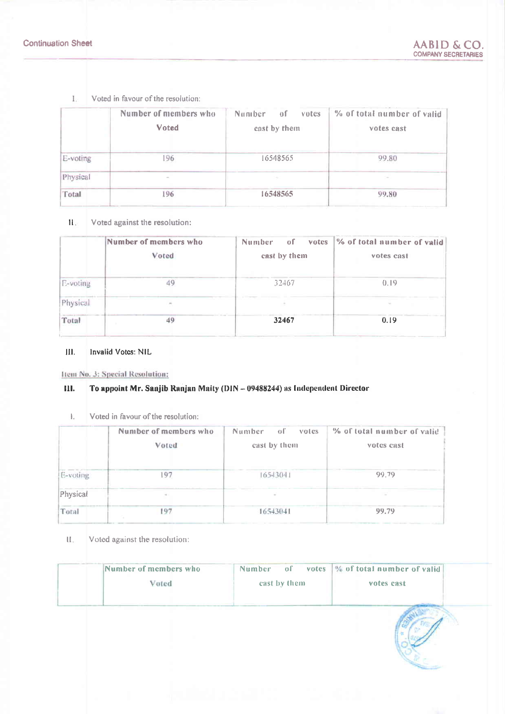Voted in favour of the resolution:  $\mathbf{L}$ 

|          | Number of members who<br>Voted | Number<br>οſ<br>votes<br>cast by them | % of total number of valid<br>votes cast |
|----------|--------------------------------|---------------------------------------|------------------------------------------|
| E-voting | 196                            | 16548565                              | 99.80                                    |
| Physical | $\sim$                         |                                       | $\sim$                                   |
| Total    | 196                            | 16548565                              | 99.80                                    |

#### $\Pi_{\mathcal{S}}$ Voted against the resolution:

|          | Number of members who<br>Voted | Number<br>οf<br><b>votes</b><br>cast by them | % of total number of valid<br>votes cast |
|----------|--------------------------------|----------------------------------------------|------------------------------------------|
| E-voting |                                | 32467                                        | 0.19                                     |
| Physical |                                |                                              |                                          |
| Total    | 49                             | 32467                                        | 0.19                                     |

#### $III.$ Invalid Votes: NIL

Hem No. 3: Special Resolution:

#### Ш. To appoint Mr. Sanjib Ranjan Maity (DIN - 09488244) as Independent Director

 $\mathbf{L}$ Voted in favour of the resolution:

|          | Number of members who | Number<br>σË<br>votes | % of total number of valid |
|----------|-----------------------|-----------------------|----------------------------|
|          | Voted                 | east by them          | votes cast                 |
| E-voting | 97                    | $165 - 13041$         | 99.79                      |
| Physical |                       | ×                     |                            |
| Total    | 197                   | 16543041              | 99.79                      |

 $\mathbf{U}_\mathrm{e}$ Voted against the resolution:

| Number of members who | Number <sub>1</sub><br>$\sigma$ | votes  % of total number of valid |  |
|-----------------------|---------------------------------|-----------------------------------|--|
| Voted                 | cast by them                    | votes cast                        |  |
|                       |                                 |                                   |  |
|                       |                                 |                                   |  |